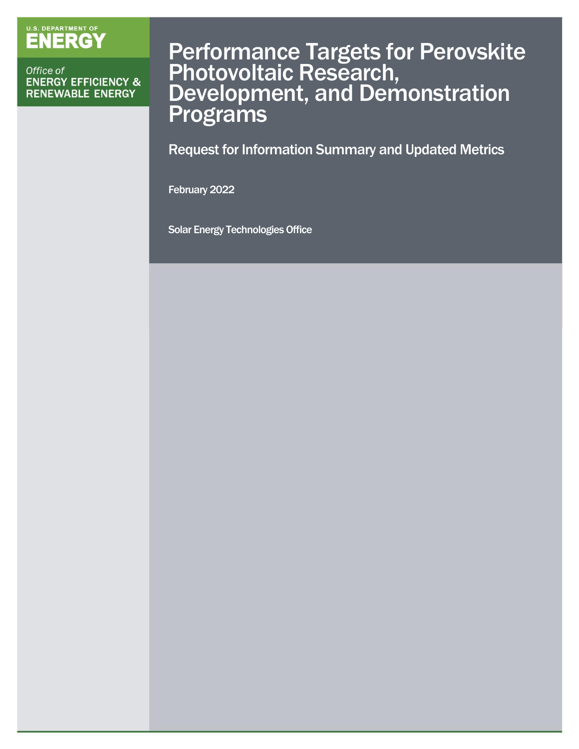# U.S. DEPARTMENT OF

Office of **ENERGY EFFICIENCY & RENEWABLE ENERGY** 

# Performance Targets for Perovskite Photovoltaic Research, Development, and Demonstration **Programs**

Request for Information Summary and Updated Metrics

February 2022

Solar Energy Technologies Office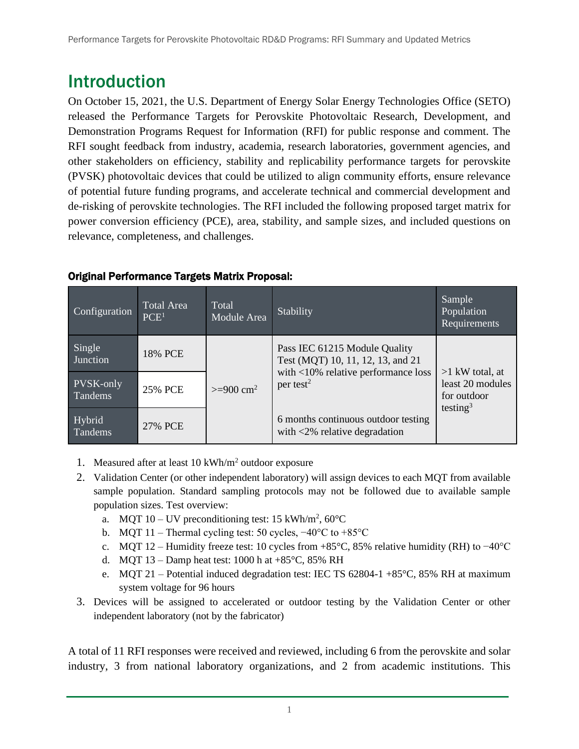# Introduction

On October 15, 2021, the U.S. Department of Energy Solar Energy Technologies Office (SETO) released the [Performance Targets for Perovskite Photovoltaic Research, Development, and](https://eere-exchange.energy.gov/Default.aspx#FoaId0fb35f8f-31f6-404c-b78f-a24313a92c07)  [Demonstration Programs Request for Information](https://eere-exchange.energy.gov/Default.aspx#FoaId0fb35f8f-31f6-404c-b78f-a24313a92c07) (RFI) for public response and comment. The RFI sought feedback from industry, academia, research laboratories, government agencies, and other stakeholders on efficiency, stability and replicability performance targets for perovskite (PVSK) photovoltaic devices that could be utilized to align community efforts, ensure relevance of potential future funding programs, and accelerate technical and commercial development and de-risking of perovskite technologies. The RFI included the following proposed target matrix for power conversion efficiency (PCE), area, stability, and sample sizes, and included questions on relevance, completeness, and challenges.

| Configuration        | <b>Total Area</b><br>PCE <sup>1</sup> | Total<br>Module Area  | Stability                                                                                                                             | Sample<br>Population<br>Requirements                                         |
|----------------------|---------------------------------------|-----------------------|---------------------------------------------------------------------------------------------------------------------------------------|------------------------------------------------------------------------------|
| Single<br>Junction   | 18% PCE                               | $>= 900 \text{ cm}^2$ | Pass IEC 61215 Module Quality<br>Test (MQT) 10, 11, 12, 13, and 21<br>with $<$ 10% relative performance loss<br>per test <sup>2</sup> | $>1$ kW total, at<br>least 20 modules<br>for outdoor<br>testing <sup>3</sup> |
| PVSK-only<br>Tandems | 25% PCE                               |                       |                                                                                                                                       |                                                                              |
| Hybrid<br>Tandems    | 27% PCE                               |                       | 6 months continuous outdoor testing<br>with $\langle 2\%$ relative degradation                                                        |                                                                              |

#### Original Performance Targets Matrix Proposal:

- 1. Measured after at least 10 kWh/m<sup>2</sup> outdoor exposure
- 2. Validation Center (or other independent laboratory) will assign devices to each MQT from available sample population. Standard sampling protocols may not be followed due to available sample population sizes. Test overview:
	- a. MQT 10 UV preconditioning test: 15 kWh/m<sup>2</sup>, 60 $^{\circ}$ C
	- b. MQT 11 Thermal cycling test: 50 cycles, −40°C to +85°C
	- c. MQT 12 Humidity freeze test: 10 cycles from +85°C, 85% relative humidity (RH) to −40°C
	- d. MQT 13 Damp heat test: 1000 h at  $+85^{\circ}$ C, 85% RH
	- e. MOT 21 Potential induced degradation test: IEC TS  $62804-1+85^{\circ}$ C,  $85\%$  RH at maximum system voltage for 96 hours
- 3. Devices will be assigned to accelerated or outdoor testing by the Validation Center or other independent laboratory (not by the fabricator)

A total of 11 RFI responses were received and reviewed, including 6 from the perovskite and solar industry, 3 from national laboratory organizations, and 2 from academic institutions. This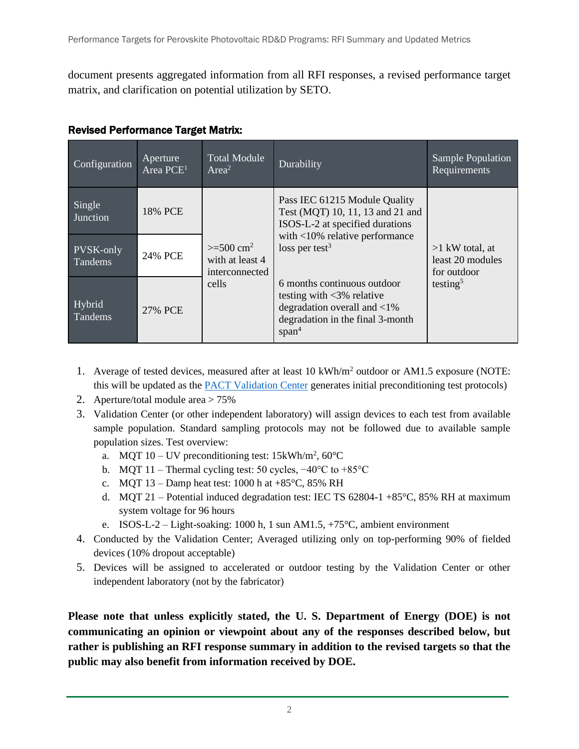document presents aggregated information from all RFI responses, a revised performance target matrix, and clarification on potential utilization by SETO.

| Configuration        | Aperture<br>Area PCE <sup>1</sup> | <b>Total Module</b><br>Area <sup>2</sup>                            | Durability                                                                                                                                                                   | <b>Sample Population</b><br>Requirements                                     |
|----------------------|-----------------------------------|---------------------------------------------------------------------|------------------------------------------------------------------------------------------------------------------------------------------------------------------------------|------------------------------------------------------------------------------|
| Single<br>Junction   | 18% PCE                           | $>= 500 \text{ cm}^2$<br>with at least 4<br>interconnected<br>cells | Pass IEC 61215 Module Quality<br>Test (MQT) 10, 11, 13 and 21 and<br>ISOS-L-2 at specified durations<br>with $<10\%$ relative performance<br>loss per test $3$               | $>1$ kW total, at<br>least 20 modules<br>for outdoor<br>testing <sup>5</sup> |
| PVSK-only<br>Tandems | 24% PCE                           |                                                                     |                                                                                                                                                                              |                                                                              |
| Hybrid<br>Tandems    | 27% PCE                           |                                                                     | 6 months continuous outdoor<br>testing with $\langle 3\% \rangle$ relative<br>degradation overall and $\langle 1\%$<br>degradation in the final 3-month<br>span <sup>4</sup> |                                                                              |

#### Revised Performance Target Matrix:

- 1. Average of tested devices, measured after at least 10 kWh/m<sup>2</sup> outdoor or AM1.5 exposure (NOTE: this will be updated as the [PACT Validation Center](https://pvpact.sandia.gov/) generates initial preconditioning test protocols)
- 2. Aperture/total module area > 75%
- 3. Validation Center (or other independent laboratory) will assign devices to each test from available sample population. Standard sampling protocols may not be followed due to available sample population sizes. Test overview:
	- a. MQT  $10 UV$  preconditioning test:  $15kWh/m^2$ ,  $60^{\circ}$ C
	- b. MQT 11 Thermal cycling test: 50 cycles, −40°C to +85°C
	- c. MQT  $13 -$ Damp heat test: 1000 h at  $+85^{\circ}$ C, 85% RH
	- d. MQT 21 Potential induced degradation test: IEC TS 62804-1 +85 $^{\circ}$ C, 85% RH at maximum system voltage for 96 hours
	- e. ISOS-L-2 Light-soaking: 1000 h, 1 sun AM1.5, +75°C, ambient environment
- 4. Conducted by the Validation Center; Averaged utilizing only on top-performing 90% of fielded devices (10% dropout acceptable)
- 5. Devices will be assigned to accelerated or outdoor testing by the Validation Center or other independent laboratory (not by the fabricator)

**Please note that unless explicitly stated, the U. S. Department of Energy (DOE) is not communicating an opinion or viewpoint about any of the responses described below, but rather is publishing an RFI response summary in addition to the revised targets so that the public may also benefit from information received by DOE.**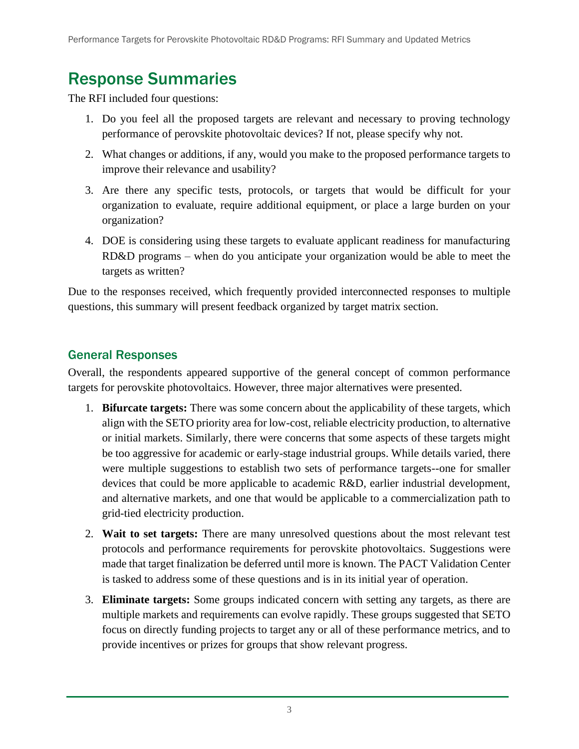# Response Summaries

The RFI included four questions:

- 1. Do you feel all the proposed targets are relevant and necessary to proving technology performance of perovskite photovoltaic devices? If not, please specify why not.
- 2. What changes or additions, if any, would you make to the proposed performance targets to improve their relevance and usability?
- 3. Are there any specific tests, protocols, or targets that would be difficult for your organization to evaluate, require additional equipment, or place a large burden on your organization?
- 4. DOE is considering using these targets to evaluate applicant readiness for manufacturing RD&D programs – when do you anticipate your organization would be able to meet the targets as written?

Due to the responses received, which frequently provided interconnected responses to multiple questions, this summary will present feedback organized by target matrix section.

## General Responses

Overall, the respondents appeared supportive of the general concept of common performance targets for perovskite photovoltaics. However, three major alternatives were presented.

- 1. **Bifurcate targets:** There was some concern about the applicability of these targets, which align with the SETO priority area for low-cost, reliable electricity production, to alternative or initial markets. Similarly, there were concerns that some aspects of these targets might be too aggressive for academic or early-stage industrial groups. While details varied, there were multiple suggestions to establish two sets of performance targets--one for smaller devices that could be more applicable to academic R&D, earlier industrial development, and alternative markets, and one that would be applicable to a commercialization path to grid-tied electricity production.
- 2. **Wait to set targets:** There are many unresolved questions about the most relevant test protocols and performance requirements for perovskite photovoltaics. Suggestions were made that target finalization be deferred until more is known. The PACT Validation Center is tasked to address some of these questions and is in its initial year of operation.
- 3. **Eliminate targets:** Some groups indicated concern with setting any targets, as there are multiple markets and requirements can evolve rapidly. These groups suggested that SETO focus on directly funding projects to target any or all of these performance metrics, and to provide incentives or prizes for groups that show relevant progress.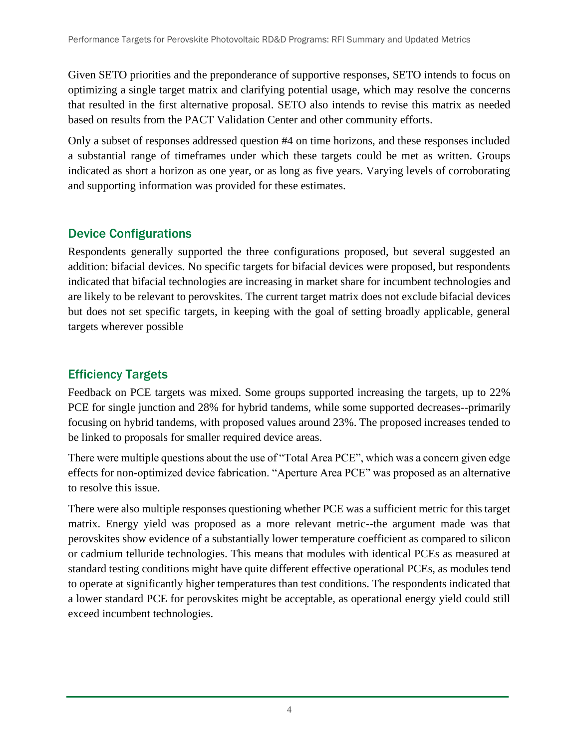Given SETO priorities and the preponderance of supportive responses, SETO intends to focus on optimizing a single target matrix and clarifying potential usage, which may resolve the concerns that resulted in the first alternative proposal. SETO also intends to revise this matrix as needed based on results from the PACT Validation Center and other community efforts.

Only a subset of responses addressed question #4 on time horizons, and these responses included a substantial range of timeframes under which these targets could be met as written. Groups indicated as short a horizon as one year, or as long as five years. Varying levels of corroborating and supporting information was provided for these estimates.

### Device Configurations

Respondents generally supported the three configurations proposed, but several suggested an addition: bifacial devices. No specific targets for bifacial devices were proposed, but respondents indicated that bifacial technologies are increasing in market share for incumbent technologies and are likely to be relevant to perovskites. The current target matrix does not exclude bifacial devices but does not set specific targets, in keeping with the goal of setting broadly applicable, general targets wherever possible

### Efficiency Targets

Feedback on PCE targets was mixed. Some groups supported increasing the targets, up to 22% PCE for single junction and 28% for hybrid tandems, while some supported decreases--primarily focusing on hybrid tandems, with proposed values around 23%. The proposed increases tended to be linked to proposals for smaller required device areas.

There were multiple questions about the use of "Total Area PCE", which was a concern given edge effects for non-optimized device fabrication. "Aperture Area PCE" was proposed as an alternative to resolve this issue.

There were also multiple responses questioning whether PCE was a sufficient metric for this target matrix. Energy yield was proposed as a more relevant metric--the argument made was that perovskites show evidence of a substantially lower temperature coefficient as compared to silicon or cadmium telluride technologies. This means that modules with identical PCEs as measured at standard testing conditions might have quite different effective operational PCEs, as modules tend to operate at significantly higher temperatures than test conditions. The respondents indicated that a lower standard PCE for perovskites might be acceptable, as operational energy yield could still exceed incumbent technologies.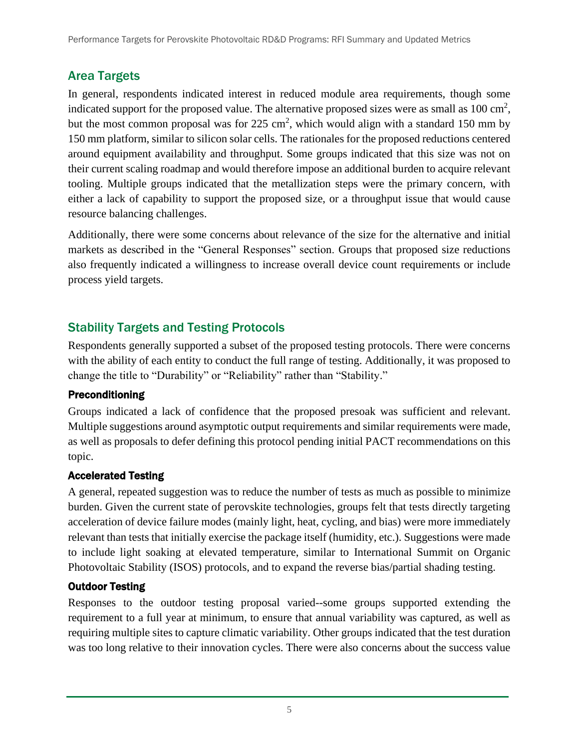### Area Targets

In general, respondents indicated interest in reduced module area requirements, though some indicated support for the proposed value. The alternative proposed sizes were as small as  $100 \text{ cm}^2$ , but the most common proposal was for  $225 \text{ cm}^2$ , which would align with a standard 150 mm by 150 mm platform, similar to silicon solar cells. The rationales for the proposed reductions centered around equipment availability and throughput. Some groups indicated that this size was not on their current scaling roadmap and would therefore impose an additional burden to acquire relevant tooling. Multiple groups indicated that the metallization steps were the primary concern, with either a lack of capability to support the proposed size, or a throughput issue that would cause resource balancing challenges.

Additionally, there were some concerns about relevance of the size for the alternative and initial markets as described in the "General Responses" section. Groups that proposed size reductions also frequently indicated a willingness to increase overall device count requirements or include process yield targets.

### Stability Targets and Testing Protocols

Respondents generally supported a subset of the proposed testing protocols. There were concerns with the ability of each entity to conduct the full range of testing. Additionally, it was proposed to change the title to "Durability" or "Reliability" rather than "Stability."

### Preconditioning

Groups indicated a lack of confidence that the proposed presoak was sufficient and relevant. Multiple suggestions around asymptotic output requirements and similar requirements were made, as well as proposals to defer defining this protocol pending initial PACT recommendations on this topic.

### Accelerated Testing

A general, repeated suggestion was to reduce the number of tests as much as possible to minimize burden. Given the current state of perovskite technologies, groups felt that tests directly targeting acceleration of device failure modes (mainly light, heat, cycling, and bias) were more immediately relevant than tests that initially exercise the package itself (humidity, etc.). Suggestions were made to include light soaking at elevated temperature, similar to International Summit on Organic Photovoltaic Stability (ISOS) protocols, and to expand the reverse bias/partial shading testing.

### Outdoor Testing

Responses to the outdoor testing proposal varied--some groups supported extending the requirement to a full year at minimum, to ensure that annual variability was captured, as well as requiring multiple sites to capture climatic variability. Other groups indicated that the test duration was too long relative to their innovation cycles. There were also concerns about the success value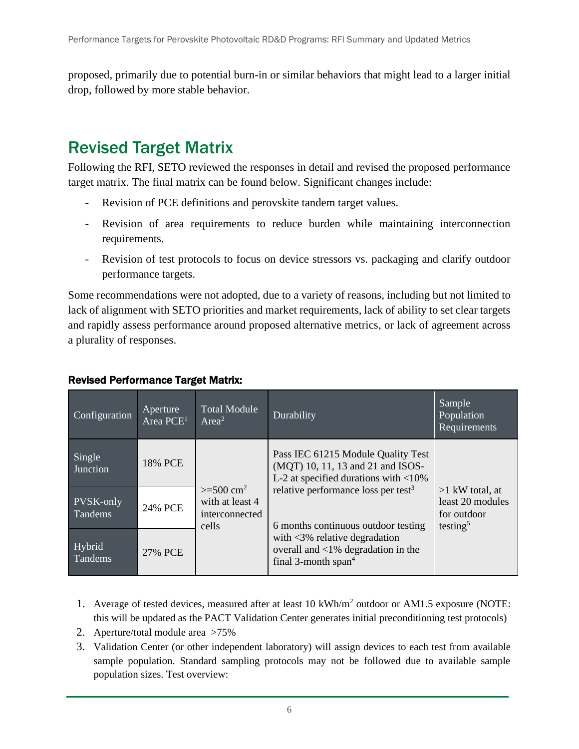proposed, primarily due to potential burn-in or similar behaviors that might lead to a larger initial drop, followed by more stable behavior.

# Revised Target Matrix

Following the RFI, SETO reviewed the responses in detail and revised the proposed performance target matrix. The final matrix can be found below. Significant changes include:

- Revision of PCE definitions and perovskite tandem target values.
- Revision of area requirements to reduce burden while maintaining interconnection requirements.
- Revision of test protocols to focus on device stressors vs. packaging and clarify outdoor performance targets.

Some recommendations were not adopted, due to a variety of reasons, including but not limited to lack of alignment with SETO priorities and market requirements, lack of ability to set clear targets and rapidly assess performance around proposed alternative metrics, or lack of agreement across a plurality of responses.

| Configuration        | Aperture<br>Area PCE <sup>1</sup> | Total Module<br>Area <sup>2</sup>                                      | Durability                                                                                                                                                                                                   | Sample<br>Population<br>Requirements                                         |
|----------------------|-----------------------------------|------------------------------------------------------------------------|--------------------------------------------------------------------------------------------------------------------------------------------------------------------------------------------------------------|------------------------------------------------------------------------------|
| Single<br>Junction   | 18% PCE                           | $>= 500$ cm <sup>2</sup><br>with at least 4<br>interconnected<br>cells | Pass IEC 61215 Module Quality Test<br>(MQT) 10, 11, 13 and 21 and ISOS-<br>L-2 at specified durations with $<$ 10%<br>relative performance loss per test <sup>3</sup><br>6 months continuous outdoor testing | $>1$ kW total, at<br>least 20 modules<br>for outdoor<br>testing <sup>5</sup> |
| PVSK-only<br>Tandems | 24% PCE                           |                                                                        |                                                                                                                                                                                                              |                                                                              |
| Hybrid<br>Tandems    | 27% PCE                           |                                                                        | with $\langle 3\%$ relative degradation<br>overall and $\langle 1\%$ degradation in the<br>final 3-month span <sup>4</sup>                                                                                   |                                                                              |

#### Revised Performance Target Matrix:

- 1. Average of tested devices, measured after at least 10 kWh/m<sup>2</sup> outdoor or AM1.5 exposure (NOTE: this will be updated as the PACT Validation Center generates initial preconditioning test protocols)
- 2. Aperture/total module area >75%
- 3. Validation Center (or other independent laboratory) will assign devices to each test from available sample population. Standard sampling protocols may not be followed due to available sample population sizes. Test overview: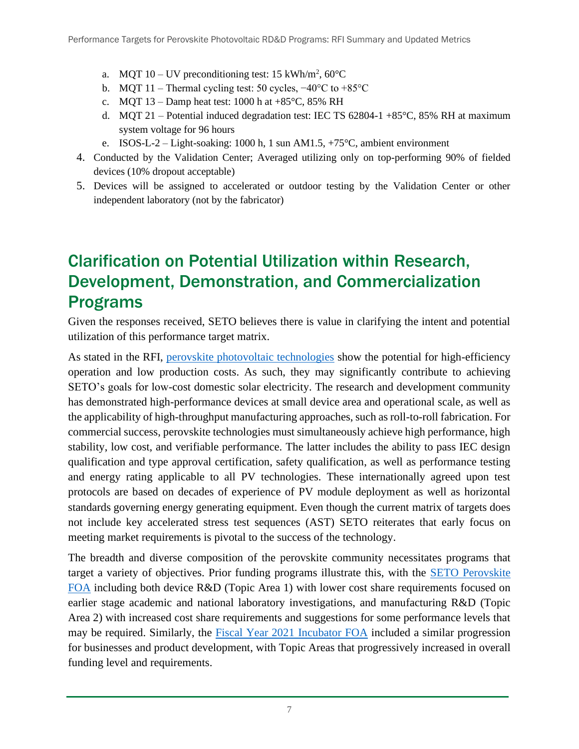- a. MQT 10 UV preconditioning test: 15 kWh/m<sup>2</sup>, 60 $^{\circ}$ C
- b. MQT 11 Thermal cycling test: 50 cycles, −40°C to +85°C
- c. MQT  $13 -$ Damp heat test: 1000 h at  $+85^{\circ}$ C, 85% RH
- d. MQT 21 Potential induced degradation test: IEC TS  $62804-1+85^{\circ}$ C,  $85\%$  RH at maximum system voltage for 96 hours
- e. ISOS-L-2 Light-soaking: 1000 h, 1 sun AM1.5, +75°C, ambient environment
- 4. Conducted by the Validation Center; Averaged utilizing only on top-performing 90% of fielded devices (10% dropout acceptable)
- 5. Devices will be assigned to accelerated or outdoor testing by the Validation Center or other independent laboratory (not by the fabricator)

# Clarification on Potential Utilization within Research, Development, Demonstration, and Commercialization Programs

Given the responses received, SETO believes there is value in clarifying the intent and potential utilization of this performance target matrix.

As stated in the RFI, [perovskite photovoltaic technologies](https://www.energy.gov/eere/solar/perovskite-solar-cells#Research) show the potential for high-efficiency operation and low production costs. As such, they may significantly contribute to achieving SETO's goals for low-cost domestic solar electricity. The research and development community has demonstrated high-performance devices at small device area and operational scale, as well as the applicability of high-throughput manufacturing approaches, such as roll-to-roll fabrication. For commercial success, perovskite technologies must simultaneously achieve high performance, high stability, low cost, and verifiable performance. The latter includes the ability to pass IEC design qualification and type approval certification, safety qualification, as well as performance testing and energy rating applicable to all PV technologies. These internationally agreed upon test protocols are based on decades of experience of PV module deployment as well as horizontal standards governing energy generating equipment. Even though the current matrix of targets does not include key accelerated stress test sequences (AST) SETO reiterates that early focus on meeting market requirements is pivotal to the success of the technology.

The breadth and diverse composition of the perovskite community necessitates programs that target a variety of objectives. Prior funding programs illustrate this, with the **SETO Perovskite** [FOA](https://eere-exchange.energy.gov/Default.aspx#FoaId4f6953d0-ac25-44f6-b99a-ce04f8e119d6) including both device R&D (Topic Area 1) with lower cost share requirements focused on earlier stage academic and national laboratory investigations, and manufacturing R&D (Topic Area 2) with increased cost share requirements and suggestions for some performance levels that may be required. Similarly, the [Fiscal Year 2021 Incubator FOA](https://eere-exchange.energy.gov/Default.aspx#FoaIdc2dbd1fe-5ad3-4442-8ce0-bfe0449a395c) included a similar progression for businesses and product development, with Topic Areas that progressively increased in overall funding level and requirements.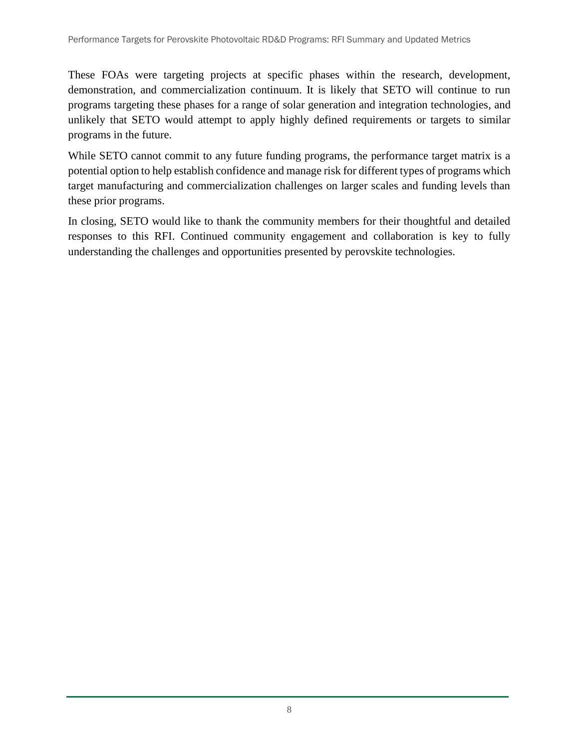These FOAs were targeting projects at specific phases within the research, development, demonstration, and commercialization continuum. It is likely that SETO will continue to run programs targeting these phases for a range of solar generation and integration technologies, and unlikely that SETO would attempt to apply highly defined requirements or targets to similar programs in the future.

While SETO cannot commit to any future funding programs, the performance target matrix is a potential option to help establish confidence and manage risk for different types of programs which target manufacturing and commercialization challenges on larger scales and funding levels than these prior programs.

In closing, SETO would like to thank the community members for their thoughtful and detailed responses to this RFI. Continued community engagement and collaboration is key to fully understanding the challenges and opportunities presented by perovskite technologies.